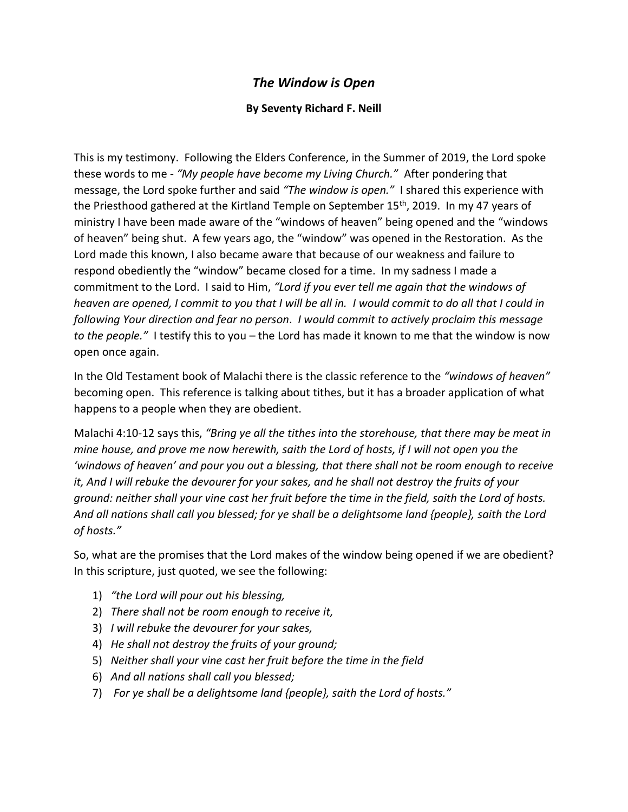## *The Window is Open*

## **By Seventy Richard F. Neill**

This is my testimony. Following the Elders Conference, in the Summer of 2019, the Lord spoke these words to me - *"My people have become my Living Church."* After pondering that message, the Lord spoke further and said *"The window is open."* I shared this experience with the Priesthood gathered at the Kirtland Temple on September 15<sup>th</sup>, 2019. In my 47 years of ministry I have been made aware of the "windows of heaven" being opened and the "windows of heaven" being shut. A few years ago, the "window" was opened in the Restoration. As the Lord made this known, I also became aware that because of our weakness and failure to respond obediently the "window" became closed for a time. In my sadness I made a commitment to the Lord. I said to Him, *"Lord if you ever tell me again that the windows of heaven are opened, I commit to you that I will be all in. I would commit to do all that I could in following Your direction and fear no person*. *I would commit to actively proclaim this message to the people."* I testify this to you – the Lord has made it known to me that the window is now open once again.

In the Old Testament book of Malachi there is the classic reference to the *"windows of heaven"*  becoming open. This reference is talking about tithes, but it has a broader application of what happens to a people when they are obedient.

Malachi 4:10-12 says this, *"Bring ye all the tithes into the storehouse, that there may be meat in mine house, and prove me now herewith, saith the Lord of hosts, if I will not open you the 'windows of heaven' and pour you out a blessing, that there shall not be room enough to receive it, And I will rebuke the devourer for your sakes, and he shall not destroy the fruits of your ground: neither shall your vine cast her fruit before the time in the field, saith the Lord of hosts. And all nations shall call you blessed; for ye shall be a delightsome land {people}, saith the Lord of hosts."*

So, what are the promises that the Lord makes of the window being opened if we are obedient? In this scripture, just quoted, we see the following:

- 1) *"the Lord will pour out his blessing,*
- 2) *There shall not be room enough to receive it,*
- 3) *I will rebuke the devourer for your sakes,*
- 4) *He shall not destroy the fruits of your ground;*
- 5) *Neither shall your vine cast her fruit before the time in the field*
- 6) *And all nations shall call you blessed;*
- 7) *For ye shall be a delightsome land {people}, saith the Lord of hosts."*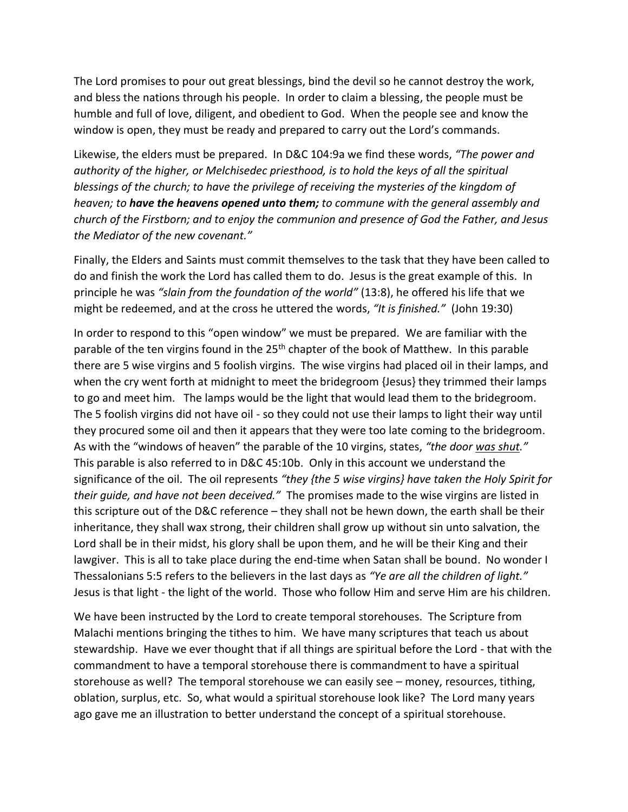The Lord promises to pour out great blessings, bind the devil so he cannot destroy the work, and bless the nations through his people. In order to claim a blessing, the people must be humble and full of love, diligent, and obedient to God. When the people see and know the window is open, they must be ready and prepared to carry out the Lord's commands.

Likewise, the elders must be prepared. In D&C 104:9a we find these words, *"The power and authority of the higher, or Melchisedec priesthood, is to hold the keys of all the spiritual blessings of the church; to have the privilege of receiving the mysteries of the kingdom of heaven; to have the heavens opened unto them; to commune with the general assembly and church of the Firstborn; and to enjoy the communion and presence of God the Father, and Jesus the Mediator of the new covenant."* 

Finally, the Elders and Saints must commit themselves to the task that they have been called to do and finish the work the Lord has called them to do. Jesus is the great example of this. In principle he was *"slain from the foundation of the world"* (13:8), he offered his life that we might be redeemed, and at the cross he uttered the words, *"It is finished."* (John 19:30)

In order to respond to this "open window" we must be prepared. We are familiar with the parable of the ten virgins found in the 25<sup>th</sup> chapter of the book of Matthew. In this parable there are 5 wise virgins and 5 foolish virgins. The wise virgins had placed oil in their lamps, and when the cry went forth at midnight to meet the bridegroom {Jesus} they trimmed their lamps to go and meet him. The lamps would be the light that would lead them to the bridegroom. The 5 foolish virgins did not have oil - so they could not use their lamps to light their way until they procured some oil and then it appears that they were too late coming to the bridegroom. As with the "windows of heaven" the parable of the 10 virgins, states, *"the door was shut."*  This parable is also referred to in D&C 45:10b. Only in this account we understand the significance of the oil. The oil represents *"they {the 5 wise virgins} have taken the Holy Spirit for their guide, and have not been deceived."* The promises made to the wise virgins are listed in this scripture out of the D&C reference – they shall not be hewn down, the earth shall be their inheritance, they shall wax strong, their children shall grow up without sin unto salvation, the Lord shall be in their midst, his glory shall be upon them, and he will be their King and their lawgiver. This is all to take place during the end-time when Satan shall be bound. No wonder I Thessalonians 5:5 refers to the believers in the last days as *"Ye are all the children of light."*  Jesus is that light - the light of the world. Those who follow Him and serve Him are his children.

We have been instructed by the Lord to create temporal storehouses. The Scripture from Malachi mentions bringing the tithes to him. We have many scriptures that teach us about stewardship. Have we ever thought that if all things are spiritual before the Lord - that with the commandment to have a temporal storehouse there is commandment to have a spiritual storehouse as well? The temporal storehouse we can easily see – money, resources, tithing, oblation, surplus, etc. So, what would a spiritual storehouse look like? The Lord many years ago gave me an illustration to better understand the concept of a spiritual storehouse.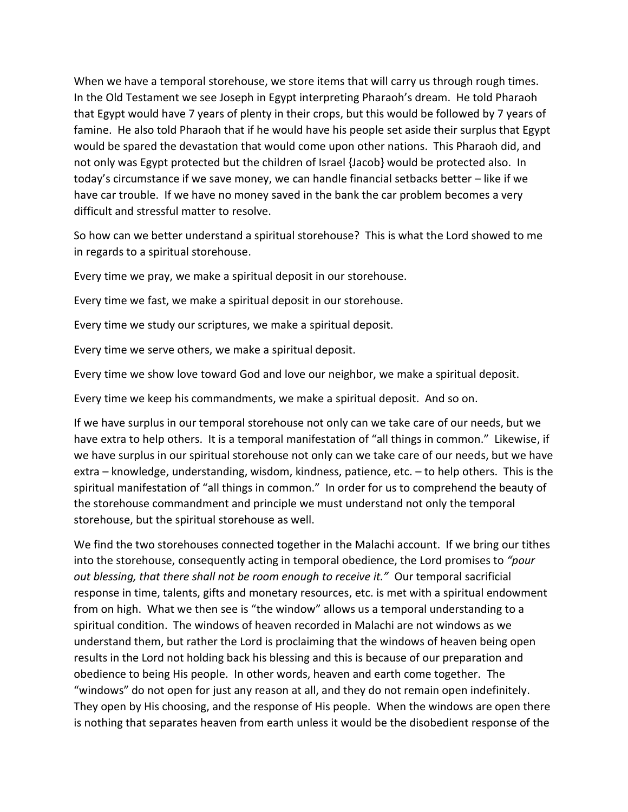When we have a temporal storehouse, we store items that will carry us through rough times. In the Old Testament we see Joseph in Egypt interpreting Pharaoh's dream. He told Pharaoh that Egypt would have 7 years of plenty in their crops, but this would be followed by 7 years of famine. He also told Pharaoh that if he would have his people set aside their surplus that Egypt would be spared the devastation that would come upon other nations. This Pharaoh did, and not only was Egypt protected but the children of Israel {Jacob} would be protected also. In today's circumstance if we save money, we can handle financial setbacks better – like if we have car trouble. If we have no money saved in the bank the car problem becomes a very difficult and stressful matter to resolve.

So how can we better understand a spiritual storehouse? This is what the Lord showed to me in regards to a spiritual storehouse.

Every time we pray, we make a spiritual deposit in our storehouse.

Every time we fast, we make a spiritual deposit in our storehouse.

Every time we study our scriptures, we make a spiritual deposit.

Every time we serve others, we make a spiritual deposit.

Every time we show love toward God and love our neighbor, we make a spiritual deposit.

Every time we keep his commandments, we make a spiritual deposit. And so on.

If we have surplus in our temporal storehouse not only can we take care of our needs, but we have extra to help others. It is a temporal manifestation of "all things in common." Likewise, if we have surplus in our spiritual storehouse not only can we take care of our needs, but we have extra – knowledge, understanding, wisdom, kindness, patience, etc. – to help others. This is the spiritual manifestation of "all things in common." In order for us to comprehend the beauty of the storehouse commandment and principle we must understand not only the temporal storehouse, but the spiritual storehouse as well.

We find the two storehouses connected together in the Malachi account. If we bring our tithes into the storehouse, consequently acting in temporal obedience, the Lord promises to *"pour out blessing, that there shall not be room enough to receive it."* Our temporal sacrificial response in time, talents, gifts and monetary resources, etc. is met with a spiritual endowment from on high. What we then see is "the window" allows us a temporal understanding to a spiritual condition. The windows of heaven recorded in Malachi are not windows as we understand them, but rather the Lord is proclaiming that the windows of heaven being open results in the Lord not holding back his blessing and this is because of our preparation and obedience to being His people. In other words, heaven and earth come together. The "windows" do not open for just any reason at all, and they do not remain open indefinitely. They open by His choosing, and the response of His people. When the windows are open there is nothing that separates heaven from earth unless it would be the disobedient response of the